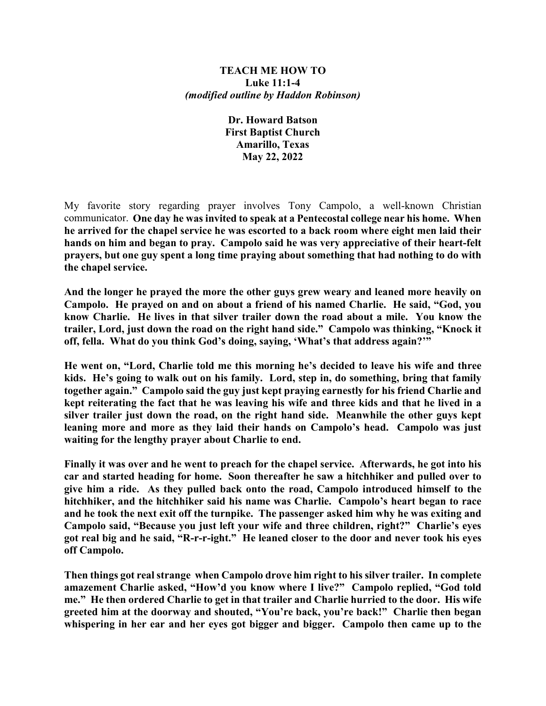#### **TEACH ME HOW TO Luke 11:1-4** *(modified outline by Haddon Robinson)*

**Dr. Howard Batson First Baptist Church Amarillo, Texas May 22, 2022**

My favorite story regarding prayer involves Tony Campolo, a well-known Christian communicator. **One day he was invited to speak at a Pentecostal college near his home. When he arrived for the chapel service he was escorted to a back room where eight men laid their hands on him and began to pray. Campolo said he was very appreciative of their heart-felt prayers, but one guy spent a long time praying about something that had nothing to do with the chapel service.** 

**And the longer he prayed the more the other guys grew weary and leaned more heavily on Campolo. He prayed on and on about a friend of his named Charlie. He said, "God, you know Charlie. He lives in that silver trailer down the road about a mile. You know the trailer, Lord, just down the road on the right hand side." Campolo was thinking, "Knock it off, fella. What do you think God's doing, saying, 'What's that address again?'"** 

**He went on, "Lord, Charlie told me this morning he's decided to leave his wife and three kids. He's going to walk out on his family. Lord, step in, do something, bring that family together again." Campolo said the guy just kept praying earnestly for his friend Charlie and kept reiterating the fact that he was leaving his wife and three kids and that he lived in a silver trailer just down the road, on the right hand side. Meanwhile the other guys kept leaning more and more as they laid their hands on Campolo's head. Campolo was just waiting for the lengthy prayer about Charlie to end.** 

**Finally it was over and he went to preach for the chapel service. Afterwards, he got into his car and started heading for home. Soon thereafter he saw a hitchhiker and pulled over to give him a ride. As they pulled back onto the road, Campolo introduced himself to the hitchhiker, and the hitchhiker said his name was Charlie. Campolo's heart began to race and he took the next exit off the turnpike. The passenger asked him why he was exiting and Campolo said, "Because you just left your wife and three children, right?" Charlie's eyes got real big and he said, "R-r-r-ight." He leaned closer to the door and never took his eyes off Campolo.** 

**Then things got real strange when Campolo drove him right to his silver trailer. In complete amazement Charlie asked, "How'd you know where I live?" Campolo replied, "God told me." He then ordered Charlie to get in that trailer and Charlie hurried to the door. His wife greeted him at the doorway and shouted, "You're back, you're back!" Charlie then began whispering in her ear and her eyes got bigger and bigger. Campolo then came up to the**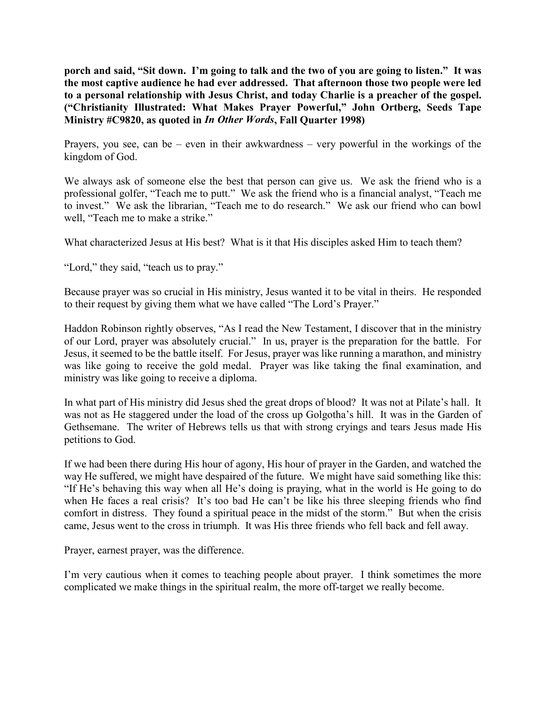**porch and said, "Sit down. I'm going to talk and the two of you are going to listen." It was the most captive audience he had ever addressed. That afternoon those two people were led to a personal relationship with Jesus Christ, and today Charlie is a preacher of the gospel. ("Christianity Illustrated: What Makes Prayer Powerful," John Ortberg, Seeds Tape Ministry #C9820, as quoted in** *In Other Words***, Fall Quarter 1998)**

Prayers, you see, can be – even in their awkwardness – very powerful in the workings of the kingdom of God.

We always ask of someone else the best that person can give us. We ask the friend who is a professional golfer, "Teach me to putt." We ask the friend who is a financial analyst, "Teach me to invest." We ask the librarian, "Teach me to do research." We ask our friend who can bowl well, "Teach me to make a strike."

What characterized Jesus at His best? What is it that His disciples asked Him to teach them?

"Lord," they said, "teach us to pray."

Because prayer was so crucial in His ministry, Jesus wanted it to be vital in theirs. He responded to their request by giving them what we have called "The Lord's Prayer."

Haddon Robinson rightly observes, "As I read the New Testament, I discover that in the ministry of our Lord, prayer was absolutely crucial." In us, prayer is the preparation for the battle. For Jesus, it seemed to be the battle itself. For Jesus, prayer was like running a marathon, and ministry was like going to receive the gold medal. Prayer was like taking the final examination, and ministry was like going to receive a diploma.

In what part of His ministry did Jesus shed the great drops of blood? It was not at Pilate's hall. It was not as He staggered under the load of the cross up Golgotha's hill. It was in the Garden of Gethsemane. The writer of Hebrews tells us that with strong cryings and tears Jesus made His petitions to God.

If we had been there during His hour of agony, His hour of prayer in the Garden, and watched the way He suffered, we might have despaired of the future. We might have said something like this: "If He's behaving this way when all He's doing is praying, what in the world is He going to do when He faces a real crisis? It's too bad He can't be like his three sleeping friends who find comfort in distress. They found a spiritual peace in the midst of the storm." But when the crisis came, Jesus went to the cross in triumph. It was His three friends who fell back and fell away.

Prayer, earnest prayer, was the difference.

I'm very cautious when it comes to teaching people about prayer. I think sometimes the more complicated we make things in the spiritual realm, the more off-target we really become.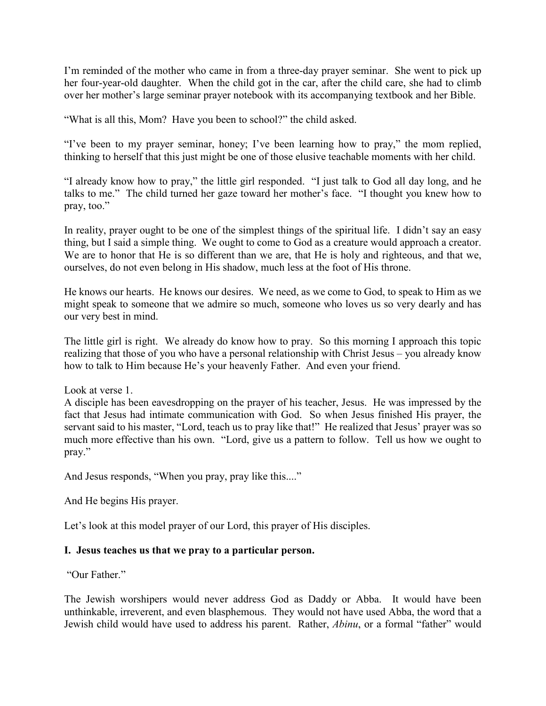I'm reminded of the mother who came in from a three-day prayer seminar. She went to pick up her four-year-old daughter. When the child got in the car, after the child care, she had to climb over her mother's large seminar prayer notebook with its accompanying textbook and her Bible.

"What is all this, Mom? Have you been to school?" the child asked.

"I've been to my prayer seminar, honey; I've been learning how to pray," the mom replied, thinking to herself that this just might be one of those elusive teachable moments with her child.

"I already know how to pray," the little girl responded. "I just talk to God all day long, and he talks to me." The child turned her gaze toward her mother's face. "I thought you knew how to pray, too."

In reality, prayer ought to be one of the simplest things of the spiritual life. I didn't say an easy thing, but I said a simple thing. We ought to come to God as a creature would approach a creator. We are to honor that He is so different than we are, that He is holy and righteous, and that we, ourselves, do not even belong in His shadow, much less at the foot of His throne.

He knows our hearts. He knows our desires. We need, as we come to God, to speak to Him as we might speak to someone that we admire so much, someone who loves us so very dearly and has our very best in mind.

The little girl is right. We already do know how to pray. So this morning I approach this topic realizing that those of you who have a personal relationship with Christ Jesus – you already know how to talk to Him because He's your heavenly Father. And even your friend.

Look at verse 1.

A disciple has been eavesdropping on the prayer of his teacher, Jesus. He was impressed by the fact that Jesus had intimate communication with God. So when Jesus finished His prayer, the servant said to his master, "Lord, teach us to pray like that!" He realized that Jesus' prayer was so much more effective than his own. "Lord, give us a pattern to follow. Tell us how we ought to pray."

And Jesus responds, "When you pray, pray like this...."

And He begins His prayer.

Let's look at this model prayer of our Lord, this prayer of His disciples.

## **I. Jesus teaches us that we pray to a particular person.**

"Our Father."

The Jewish worshipers would never address God as Daddy or Abba. It would have been unthinkable, irreverent, and even blasphemous. They would not have used Abba, the word that a Jewish child would have used to address his parent. Rather, *Abinu*, or a formal "father" would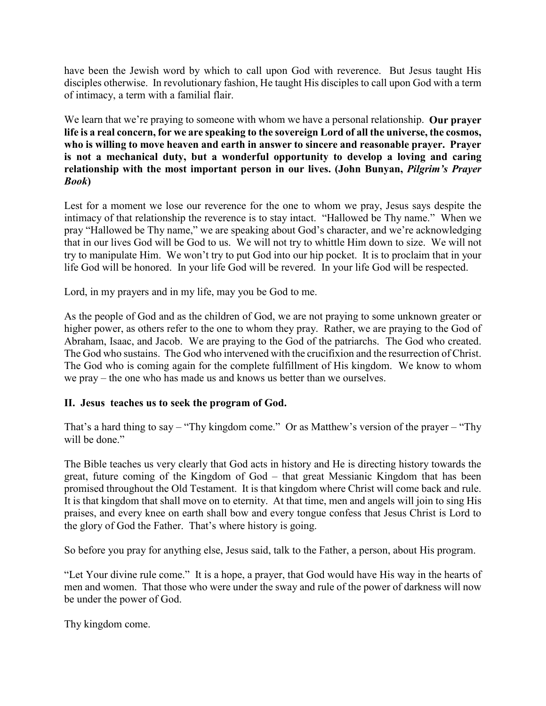have been the Jewish word by which to call upon God with reverence. But Jesus taught His disciples otherwise. In revolutionary fashion, He taught His disciples to call upon God with a term of intimacy, a term with a familial flair.

We learn that we're praying to someone with whom we have a personal relationship. **Our prayer life is a real concern, for we are speaking to the sovereign Lord of all the universe, the cosmos,**  who is willing to move heaven and earth in answer to sincere and reasonable prayer. Prayer **is not a mechanical duty, but a wonderful opportunity to develop a loving and caring relationship with the most important person in our lives. (John Bunyan,** *Pilgrim's Prayer Book***)**

Lest for a moment we lose our reverence for the one to whom we pray, Jesus says despite the intimacy of that relationship the reverence is to stay intact. "Hallowed be Thy name." When we pray "Hallowed be Thy name," we are speaking about God's character, and we're acknowledging that in our lives God will be God to us. We will not try to whittle Him down to size. We will not try to manipulate Him. We won't try to put God into our hip pocket. It is to proclaim that in your life God will be honored. In your life God will be revered. In your life God will be respected.

Lord, in my prayers and in my life, may you be God to me.

As the people of God and as the children of God, we are not praying to some unknown greater or higher power, as others refer to the one to whom they pray. Rather, we are praying to the God of Abraham, Isaac, and Jacob. We are praying to the God of the patriarchs. The God who created. The God who sustains. The God who intervened with the crucifixion and the resurrection of Christ. The God who is coming again for the complete fulfillment of His kingdom. We know to whom we pray – the one who has made us and knows us better than we ourselves.

# **II. Jesus teaches us to seek the program of God.**

That's a hard thing to say – "Thy kingdom come." Or as Matthew's version of the prayer – "Thy will be done."

The Bible teaches us very clearly that God acts in history and He is directing history towards the great, future coming of the Kingdom of God – that great Messianic Kingdom that has been promised throughout the Old Testament. It is that kingdom where Christ will come back and rule. It is that kingdom that shall move on to eternity. At that time, men and angels will join to sing His praises, and every knee on earth shall bow and every tongue confess that Jesus Christ is Lord to the glory of God the Father. That's where history is going.

So before you pray for anything else, Jesus said, talk to the Father, a person, about His program.

"Let Your divine rule come." It is a hope, a prayer, that God would have His way in the hearts of men and women. That those who were under the sway and rule of the power of darkness will now be under the power of God.

Thy kingdom come.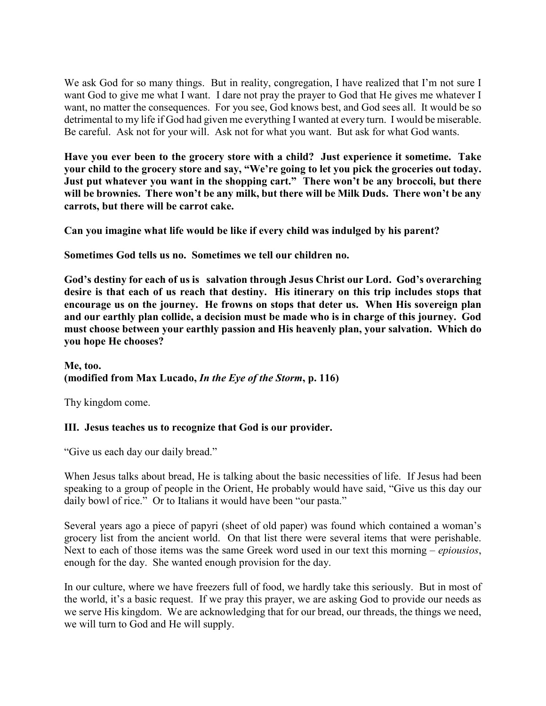We ask God for so many things. But in reality, congregation, I have realized that I'm not sure I want God to give me what I want. I dare not pray the prayer to God that He gives me whatever I want, no matter the consequences. For you see, God knows best, and God sees all. It would be so detrimental to my life if God had given me everything I wanted at every turn. I would be miserable. Be careful. Ask not for your will. Ask not for what you want. But ask for what God wants.

**Have you ever been to the grocery store with a child? Just experience it sometime. Take your child to the grocery store and say, "We're going to let you pick the groceries out today. Just put whatever you want in the shopping cart." There won't be any broccoli, but there will be brownies. There won't be any milk, but there will be Milk Duds. There won't be any carrots, but there will be carrot cake.**

**Can you imagine what life would be like if every child was indulged by his parent?**

**Sometimes God tells us no. Sometimes we tell our children no.**

**God's destiny for each of us is salvation through Jesus Christ our Lord. God's overarching desire is that each of us reach that destiny. His itinerary on this trip includes stops that encourage us on the journey. He frowns on stops that deter us. When His sovereign plan and our earthly plan collide, a decision must be made who is in charge of this journey. God must choose between your earthly passion and His heavenly plan, your salvation. Which do you hope He chooses?**

## **Me, too. (modified from Max Lucado,** *In the Eye of the Storm***, p. 116)**

Thy kingdom come.

## **III. Jesus teaches us to recognize that God is our provider.**

"Give us each day our daily bread."

When Jesus talks about bread, He is talking about the basic necessities of life. If Jesus had been speaking to a group of people in the Orient, He probably would have said, "Give us this day our daily bowl of rice." Or to Italians it would have been "our pasta."

Several years ago a piece of papyri (sheet of old paper) was found which contained a woman's grocery list from the ancient world. On that list there were several items that were perishable. Next to each of those items was the same Greek word used in our text this morning – *epiousios*, enough for the day. She wanted enough provision for the day.

In our culture, where we have freezers full of food, we hardly take this seriously. But in most of the world, it's a basic request. If we pray this prayer, we are asking God to provide our needs as we serve His kingdom. We are acknowledging that for our bread, our threads, the things we need, we will turn to God and He will supply.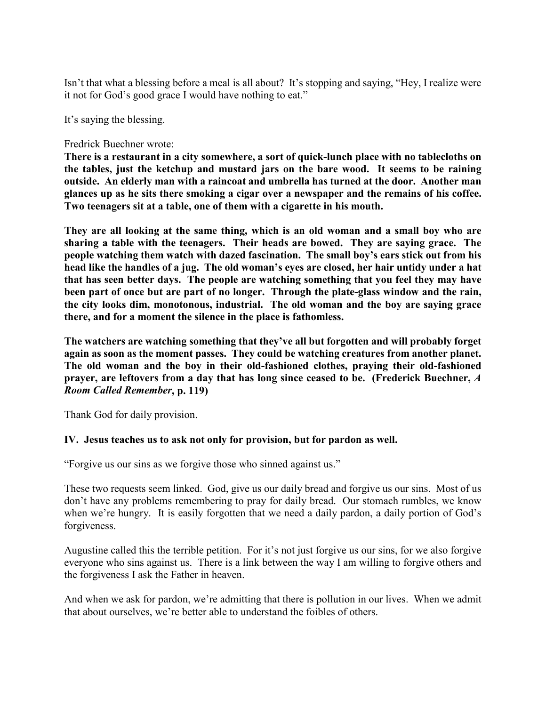Isn't that what a blessing before a meal is all about? It's stopping and saying, "Hey, I realize were it not for God's good grace I would have nothing to eat."

It's saying the blessing.

#### Fredrick Buechner wrote:

**There is a restaurant in a city somewhere, a sort of quick-lunch place with no tablecloths on the tables, just the ketchup and mustard jars on the bare wood. It seems to be raining outside. An elderly man with a raincoat and umbrella has turned at the door. Another man glances up as he sits there smoking a cigar over a newspaper and the remains of his coffee. Two teenagers sit at a table, one of them with a cigarette in his mouth.** 

**They are all looking at the same thing, which is an old woman and a small boy who are sharing a table with the teenagers. Their heads are bowed. They are saying grace. The people watching them watch with dazed fascination. The small boy's ears stick out from his head like the handles of a jug. The old woman's eyes are closed, her hair untidy under a hat that has seen better days. The people are watching something that you feel they may have been part of once but are part of no longer. Through the plate-glass window and the rain, the city looks dim, monotonous, industrial. The old woman and the boy are saying grace there, and for a moment the silence in the place is fathomless.** 

**The watchers are watching something that they've all but forgotten and will probably forget again as soon as the moment passes. They could be watching creatures from another planet. The old woman and the boy in their old-fashioned clothes, praying their old-fashioned prayer, are leftovers from a day that has long since ceased to be. (Frederick Buechner,** *A Room Called Remember***, p. 119)**

Thank God for daily provision.

## **IV. Jesus teaches us to ask not only for provision, but for pardon as well.**

"Forgive us our sins as we forgive those who sinned against us."

These two requests seem linked. God, give us our daily bread and forgive us our sins. Most of us don't have any problems remembering to pray for daily bread. Our stomach rumbles, we know when we're hungry. It is easily forgotten that we need a daily pardon, a daily portion of God's forgiveness.

Augustine called this the terrible petition. For it's not just forgive us our sins, for we also forgive everyone who sins against us. There is a link between the way I am willing to forgive others and the forgiveness I ask the Father in heaven.

And when we ask for pardon, we're admitting that there is pollution in our lives. When we admit that about ourselves, we're better able to understand the foibles of others.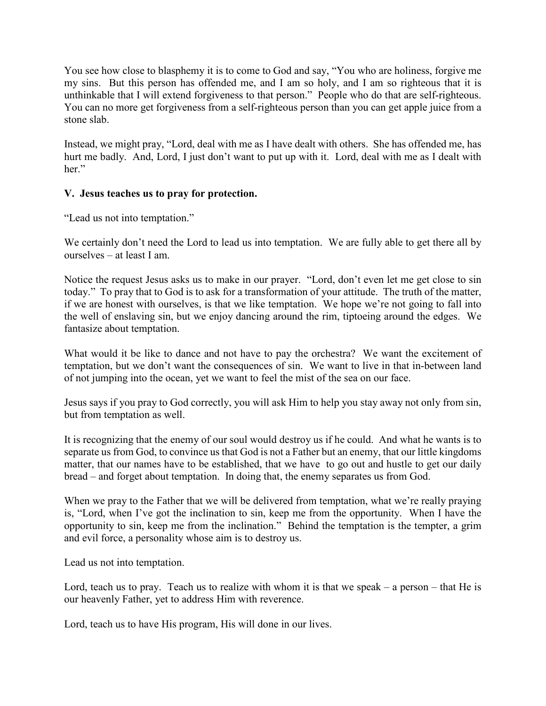You see how close to blasphemy it is to come to God and say, "You who are holiness, forgive me my sins. But this person has offended me, and I am so holy, and I am so righteous that it is unthinkable that I will extend forgiveness to that person." People who do that are self-righteous. You can no more get forgiveness from a self-righteous person than you can get apple juice from a stone slab.

Instead, we might pray, "Lord, deal with me as I have dealt with others. She has offended me, has hurt me badly. And, Lord, I just don't want to put up with it. Lord, deal with me as I dealt with her."

## **V. Jesus teaches us to pray for protection.**

"Lead us not into temptation."

We certainly don't need the Lord to lead us into temptation. We are fully able to get there all by ourselves – at least I am.

Notice the request Jesus asks us to make in our prayer. "Lord, don't even let me get close to sin today." To pray that to God is to ask for a transformation of your attitude. The truth of the matter, if we are honest with ourselves, is that we like temptation. We hope we're not going to fall into the well of enslaving sin, but we enjoy dancing around the rim, tiptoeing around the edges. We fantasize about temptation.

What would it be like to dance and not have to pay the orchestra? We want the excitement of temptation, but we don't want the consequences of sin. We want to live in that in-between land of not jumping into the ocean, yet we want to feel the mist of the sea on our face.

Jesus says if you pray to God correctly, you will ask Him to help you stay away not only from sin, but from temptation as well.

It is recognizing that the enemy of our soul would destroy us if he could. And what he wants is to separate us from God, to convince us that God is not a Father but an enemy, that our little kingdoms matter, that our names have to be established, that we have to go out and hustle to get our daily bread – and forget about temptation. In doing that, the enemy separates us from God.

When we pray to the Father that we will be delivered from temptation, what we're really praying is, "Lord, when I've got the inclination to sin, keep me from the opportunity. When I have the opportunity to sin, keep me from the inclination." Behind the temptation is the tempter, a grim and evil force, a personality whose aim is to destroy us.

Lead us not into temptation.

Lord, teach us to pray. Teach us to realize with whom it is that we speak – a person – that He is our heavenly Father, yet to address Him with reverence.

Lord, teach us to have His program, His will done in our lives.